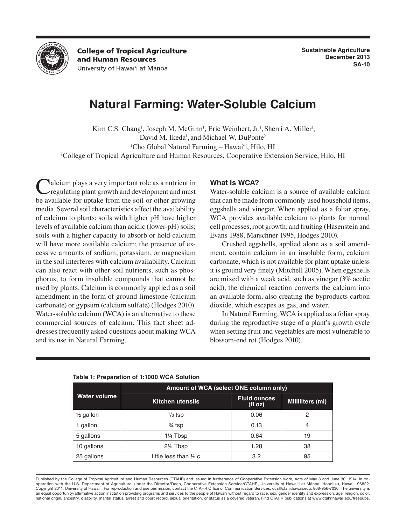

**College of Tropical Agriculture** and Human Resources University of Hawai'i at Mānoa

# **Natural Farming: Water-Soluble Calcium**

Kim C.S. Chang<sup>1</sup>, Joseph M. McGinn<sup>1</sup>, Eric Weinhert, Jr.<sup>1</sup>, Sherri A. Miller<sup>1</sup>, David M. Ikeda<sup>1</sup>, and Michael W. DuPonte<sup>2</sup> 1 Cho Global Natural Farming – Hawai'i, Hilo, HI

2 College of Tropical Agriculture and Human Resources, Cooperative Extension Service, Hilo, HI

Calcium plays a very important role as a nutrient in<br>
regulating plant growth and development and must<br>
ke social the formation from the political tentance be available for uptake from the soil or other growing media. Several soil characteristics affect the availability of calcium to plants: soils with higher pH have higher levels of available calcium than acidic (lower-pH) soils; soils with a higher capacity to absorb or hold calcium will have more available calcium; the presence of excessive amounts of sodium, potassium, or magnesium in the soil interferes with calcium availability. Calcium can also react with other soil nutrients, such as phosphorus, to form insoluble compounds that cannot be used by plants. Calcium is commonly applied as a soil amendment in the form of ground limestone (calcium carbonate) or gypsum (calcium sulfate) (Hodges 2010). Water-soluble calcium (WCA) is an alternative to these commercial sources of calcium. This fact sheet addresses frequently asked questions about making WCA and its use in Natural Farming.

## **What Is WCA?**

Water-soluble calcium is a source of available calcium that can be made from commonly used household items, eggshells and vinegar. When applied as a foliar spray, WCA provides available calcium to plants for normal cell processes, root growth, and fruiting (Hasenstein and Evans 1988, Marschner 1995, Hodges 2010).

Crushed eggshells, applied alone as a soil amendment, contain calcium in an insoluble form, calcium carbonate, which is not available for plant uptake unless it is ground very finely (Mitchell 2005). When eggshells are mixed with a weak acid, such as vinegar (3% acetic acid), the chemical reaction converts the calcium into an available form, also creating the byproducts carbon dioxide, which escapes as gas, and water.

In Natural Farming, WCA is applied as a foliar spray during the reproductive stage of a plant's growth cycle when setting fruit and vegetables are most vulnerable to blossom-end rot (Hodges 2010).

| Water volume         | Amount of WCA (select ONE column only) |                               |                  |
|----------------------|----------------------------------------|-------------------------------|------------------|
|                      | <b>Kitchen utensils</b>                | <b>Fluid ounces</b><br>(f oz) | Milliliters (ml) |
| $\frac{1}{2}$ gallon | $\frac{1}{3}$ tsp                      | 0.06                          | 2                |
| 1 gallon             | $\frac{3}{4}$ tsp                      | 0.13                          | 4                |
| 5 gallons            | 1¼ Tbsp                                | 0.64                          | 19               |
| 10 gallons           | $2\frac{1}{2}$ Tbsp                    | 1.28                          | 38               |
| 25 gallons           | little less than $\frac{1}{2}$ c       | 3.2                           | 95               |

#### **Table 1: Preparation of 1:1000 WCA Solution**

Published by the College of Tropical Agriculture and Human Resources (CTAHR) and issued in furtherance of Cooperative Extension work, Acts of May 8 and June 30, 1914, in cooperation with the U.S. Department of Agriculture, under the Director/Dean, Cooperative Extension Service/CTAHR, University of Hawai'i at Mānoa, Honolulu, Hawai'i 96822. Copyright 2011, University of Hawai'i. For reproduction and use permission, contact the CTAHR Office of Communication Services, ocs@ctahr.hawaii.edu, 808-956-7036. The university is an equal opportunity/affirmative action institution providing programs and services to the people of Hawai'i without regard to race, sex, gender identity and expression, age, religion, color, national origin, ancestry, disability, marital status, arrest and court record, sexual orientation, or status as a covered veteran. Find CTAHR publications at www.ctahr.hawaii.edu/freepubs.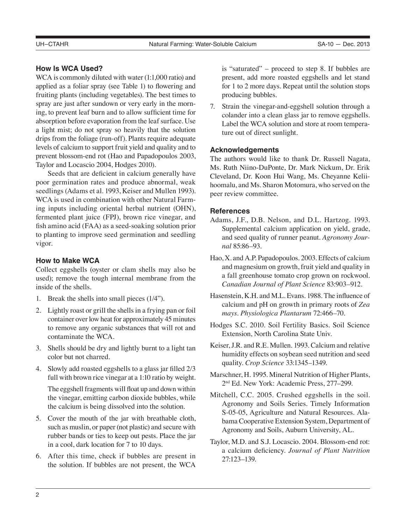## **How Is WCA Used?**

WCA is commonly diluted with water (1:1,000 ratio) and applied as a foliar spray (see Table 1) to flowering and fruiting plants (including vegetables). The best times to spray are just after sundown or very early in the morning, to prevent leaf burn and to allow sufficient time for absorption before evaporation from the leaf surface. Use a light mist; do not spray so heavily that the solution drips from the foliage (run-off). Plants require adequate levels of calcium to support fruit yield and quality and to prevent blossom-end rot (Hao and Papadopoulos 2003, Taylor and Locascio 2004, Hodges 2010).

Seeds that are deficient in calcium generally have poor germination rates and produce abnormal, weak seedlings (Adams et al. 1993, Keiser and Mullen 1993). WCA is used in combination with other Natural Farming inputs including oriental herbal nutrient (OHN), fermented plant juice (FPJ), brown rice vinegar, and fish amino acid (FAA) as a seed-soaking solution prior to planting to improve seed germination and seedling vigor.

## **How to Make WCA**

Collect eggshells (oyster or clam shells may also be used); remove the tough internal membrane from the inside of the shells.

- 1. Break the shells into small pieces (1/4").
- 2. Lightly roast or grill the shells in a frying pan or foil container over low heat for approximately 45 minutes to remove any organic substances that will rot and contaminate the WCA.
- 3. Shells should be dry and lightly burnt to a light tan color but not charred.
- 4. Slowly add roasted eggshells to a glass jar filled 2/3 full with brown rice vinegar at a 1:10 ratio by weight.

The eggshell fragments will float up and down within the vinegar, emitting carbon dioxide bubbles, while the calcium is being dissolved into the solution.

- 5. Cover the mouth of the jar with breathable cloth, such as muslin, or paper (not plastic) and secure with rubber bands or ties to keep out pests. Place the jar in a cool, dark location for 7 to 10 days.
- 6. After this time, check if bubbles are present in the solution. If bubbles are not present, the WCA

is "saturated" – proceed to step 8. If bubbles are present, add more roasted eggshells and let stand for 1 to 2 more days. Repeat until the solution stops producing bubbles.

7. Strain the vinegar-and-eggshell solution through a colander into a clean glass jar to remove eggshells. Label the WCA solution and store at room temperature out of direct sunlight.

#### **Acknowledgements**

The authors would like to thank Dr. Russell Nagata, Ms. Ruth Niino-DuPonte, Dr. Mark Nickum, Dr. Erik Cleveland, Dr. Koon Hui Wang, Ms. Cheyanne Keliihoomalu, and Ms. Sharon Motomura, who served on the peer review committee.

### **References**

- Adams, J.F., D.B. Nelson, and D.L. Hartzog. 1993. Supplemental calcium application on yield, grade, and seed quality of runner peanut. *Agronomy Journal* 85:86–93.
- Hao, X. and A.P. Papadopoulos. 2003. Effects of calcium and magnesium on growth, fruit yield and quality in a fall greenhouse tomato crop grown on rockwool. *Canadian Journal of Plant Science* 83:903–912.
- Hasenstein, K.H. and M.L. Evans. 1988. The influence of calcium and pH on growth in primary roots of *Zea mays*. *Physiologica Plantarum* 72:466–70.
- Hodges S.C. 2010. Soil Fertility Basics. Soil Science Extension, North Carolina State Univ.
- Keiser, J.R. and R.E. Mullen. 1993. Calcium and relative humidity effects on soybean seed nutrition and seed quality. *Crop Science* 33:1345–1349.
- Marschner, H. 1995. Mineral Nutrition of Higher Plants, 2nd Ed. New York: Academic Press, 277–299.
- Mitchell, C.C. 2005. Crushed eggshells in the soil. Agronomy and Soils Series. Timely Information S-05-05, Agriculture and Natural Resources. Alabama Cooperative Extension System, Department of Agronomy and Soils, Auburn University, AL.
- Taylor, M.D. and S.J. Locascio. 2004. Blossom-end rot: a calcium deficiency. *Journal of Plant Nutrition* 27:123–139.